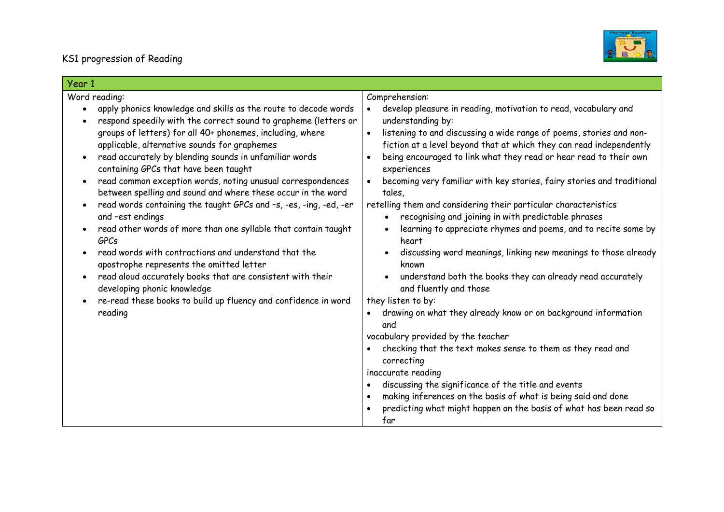

| Year 1                                                                                                                                                                                                                                                                                                                                                                                                                                                                                                                                                                                                                                                                                                                                                                                                                                                                                                                                                                                                                      |                                                                                                                                                                                                                                                                                                                                                                                                                                                                                                                                                                                                                                                                                                                                                                                                                                                                                                                                                                                                                                                                                                                                                                                                                                                                                           |
|-----------------------------------------------------------------------------------------------------------------------------------------------------------------------------------------------------------------------------------------------------------------------------------------------------------------------------------------------------------------------------------------------------------------------------------------------------------------------------------------------------------------------------------------------------------------------------------------------------------------------------------------------------------------------------------------------------------------------------------------------------------------------------------------------------------------------------------------------------------------------------------------------------------------------------------------------------------------------------------------------------------------------------|-------------------------------------------------------------------------------------------------------------------------------------------------------------------------------------------------------------------------------------------------------------------------------------------------------------------------------------------------------------------------------------------------------------------------------------------------------------------------------------------------------------------------------------------------------------------------------------------------------------------------------------------------------------------------------------------------------------------------------------------------------------------------------------------------------------------------------------------------------------------------------------------------------------------------------------------------------------------------------------------------------------------------------------------------------------------------------------------------------------------------------------------------------------------------------------------------------------------------------------------------------------------------------------------|
| Word reading:<br>apply phonics knowledge and skills as the route to decode words<br>respond speedily with the correct sound to grapheme (letters or<br>$\bullet$<br>groups of letters) for all 40+ phonemes, including, where<br>applicable, alternative sounds for graphemes<br>read accurately by blending sounds in unfamiliar words<br>$\bullet$<br>containing GPCs that have been taught<br>read common exception words, noting unusual correspondences<br>$\bullet$<br>between spelling and sound and where these occur in the word<br>read words containing the taught GPCs and -s, -es, -ing, -ed, -er<br>$\bullet$<br>and -est endings<br>read other words of more than one syllable that contain taught<br><b>GPCs</b><br>read words with contractions and understand that the<br>apostrophe represents the omitted letter<br>read aloud accurately books that are consistent with their<br>$\bullet$<br>developing phonic knowledge<br>re-read these books to build up fluency and confidence in word<br>reading | Comprehension:<br>develop pleasure in reading, motivation to read, vocabulary and<br>understanding by:<br>listening to and discussing a wide range of poems, stories and non-<br>fiction at a level beyond that at which they can read independently<br>being encouraged to link what they read or hear read to their own<br>experiences<br>becoming very familiar with key stories, fairy stories and traditional<br>tales,<br>retelling them and considering their particular characteristics<br>recognising and joining in with predictable phrases<br>$\bullet$<br>learning to appreciate rhymes and poems, and to recite some by<br>$\bullet$<br>heart<br>discussing word meanings, linking new meanings to those already<br>$\bullet$<br>known<br>understand both the books they can already read accurately<br>and fluently and those<br>they listen to by:<br>drawing on what they already know or on background information<br>and<br>vocabulary provided by the teacher<br>checking that the text makes sense to them as they read and<br>correcting<br>inaccurate reading<br>discussing the significance of the title and events<br>making inferences on the basis of what is being said and done<br>predicting what might happen on the basis of what has been read so<br>far |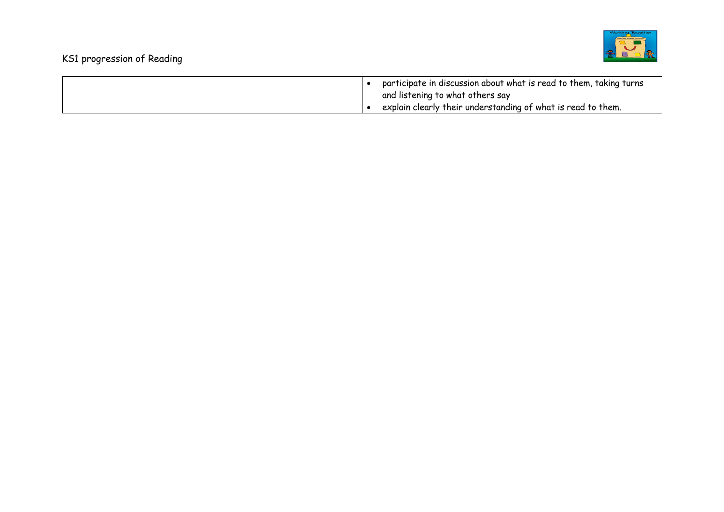

| participate in discussion about what is read to them, taking turns<br>and listening to what others say |
|--------------------------------------------------------------------------------------------------------|
| explain clearly their understanding of what is read to them.                                           |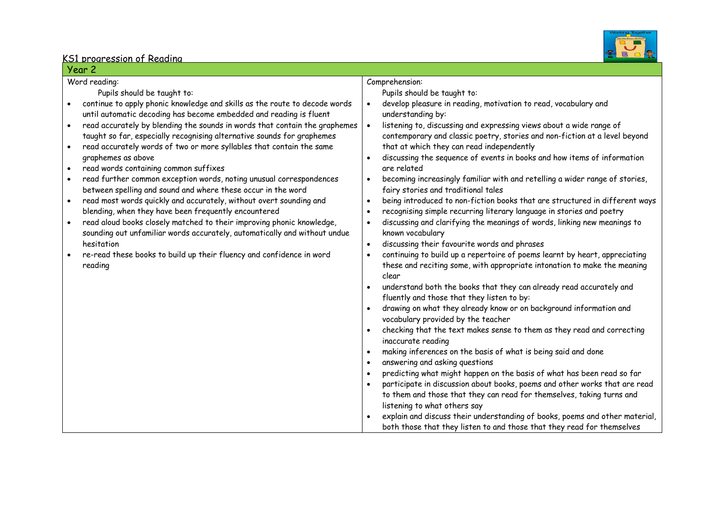

| Year 2                                                                                                                                                                                                                                                                                                                                                                                                                                                                                                                                                                                                                                                                                                                                                                                                                                                                                                                                                                                                                                                                                                                 |                                                                                                                                                                                                                                                                                                                                                                                                                                                                                                                                                                                                                                                                                                                                                                                                                                                                                                                                                                                                                                                                                                                                                                                                                                                                                                                                                                                                                                                                                                                                                                                                 |
|------------------------------------------------------------------------------------------------------------------------------------------------------------------------------------------------------------------------------------------------------------------------------------------------------------------------------------------------------------------------------------------------------------------------------------------------------------------------------------------------------------------------------------------------------------------------------------------------------------------------------------------------------------------------------------------------------------------------------------------------------------------------------------------------------------------------------------------------------------------------------------------------------------------------------------------------------------------------------------------------------------------------------------------------------------------------------------------------------------------------|-------------------------------------------------------------------------------------------------------------------------------------------------------------------------------------------------------------------------------------------------------------------------------------------------------------------------------------------------------------------------------------------------------------------------------------------------------------------------------------------------------------------------------------------------------------------------------------------------------------------------------------------------------------------------------------------------------------------------------------------------------------------------------------------------------------------------------------------------------------------------------------------------------------------------------------------------------------------------------------------------------------------------------------------------------------------------------------------------------------------------------------------------------------------------------------------------------------------------------------------------------------------------------------------------------------------------------------------------------------------------------------------------------------------------------------------------------------------------------------------------------------------------------------------------------------------------------------------------|
| Word reading:<br>Pupils should be taught to:<br>continue to apply phonic knowledge and skills as the route to decode words<br>$\bullet$<br>until automatic decoding has become embedded and reading is fluent<br>read accurately by blending the sounds in words that contain the graphemes<br>$\bullet$<br>taught so far, especially recognising alternative sounds for graphemes<br>read accurately words of two or more syllables that contain the same<br>$\bullet$<br>graphemes as above<br>read words containing common suffixes<br>$\bullet$<br>read further common exception words, noting unusual correspondences<br>$\bullet$<br>between spelling and sound and where these occur in the word<br>read most words quickly and accurately, without overt sounding and<br>$\bullet$<br>blending, when they have been frequently encountered<br>read aloud books closely matched to their improving phonic knowledge,<br>$\bullet$<br>sounding out unfamiliar words accurately, automatically and without undue<br>hesitation<br>re-read these books to build up their fluency and confidence in word<br>reading | Comprehension:<br>Pupils should be taught to:<br>develop pleasure in reading, motivation to read, vocabulary and<br>$\bullet$<br>understanding by:<br>listening to, discussing and expressing views about a wide range of<br>$\bullet$<br>contemporary and classic poetry, stories and non-fiction at a level beyond<br>that at which they can read independently<br>discussing the sequence of events in books and how items of information<br>$\bullet$<br>are related<br>becoming increasingly familiar with and retelling a wider range of stories,<br>$\bullet$<br>fairy stories and traditional tales<br>being introduced to non-fiction books that are structured in different ways<br>$\bullet$<br>recognising simple recurring literary language in stories and poetry<br>$\bullet$<br>discussing and clarifying the meanings of words, linking new meanings to<br>$\bullet$<br>known vocabulary<br>discussing their favourite words and phrases<br>$\bullet$<br>continuing to build up a repertoire of poems learnt by heart, appreciating<br>$\bullet$<br>these and reciting some, with appropriate intonation to make the meaning<br>clear<br>understand both the books that they can already read accurately and<br>$\bullet$<br>fluently and those that they listen to by:<br>drawing on what they already know or on background information and<br>vocabulary provided by the teacher<br>checking that the text makes sense to them as they read and correcting<br>$\bullet$<br>inaccurate reading<br>making inferences on the basis of what is being said and done<br>$\bullet$ |
|                                                                                                                                                                                                                                                                                                                                                                                                                                                                                                                                                                                                                                                                                                                                                                                                                                                                                                                                                                                                                                                                                                                        | answering and asking questions<br>$\bullet$<br>predicting what might happen on the basis of what has been read so far<br>$\bullet$<br>participate in discussion about books, poems and other works that are read                                                                                                                                                                                                                                                                                                                                                                                                                                                                                                                                                                                                                                                                                                                                                                                                                                                                                                                                                                                                                                                                                                                                                                                                                                                                                                                                                                                |
|                                                                                                                                                                                                                                                                                                                                                                                                                                                                                                                                                                                                                                                                                                                                                                                                                                                                                                                                                                                                                                                                                                                        | to them and those that they can read for themselves, taking turns and<br>listening to what others say<br>explain and discuss their understanding of books, poems and other material,<br>both those that they listen to and those that they read for themselves                                                                                                                                                                                                                                                                                                                                                                                                                                                                                                                                                                                                                                                                                                                                                                                                                                                                                                                                                                                                                                                                                                                                                                                                                                                                                                                                  |